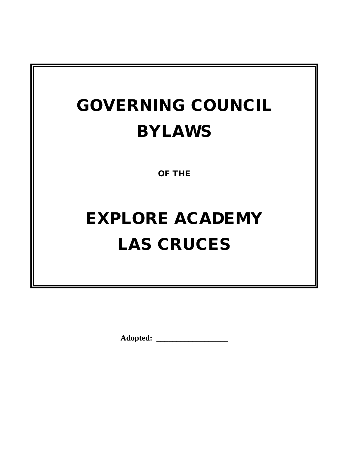## GOVERNING COUNCIL BYLAWS

OF THE

# EXPLORE ACADEMY LAS CRUCES

**Adopted: \_\_\_\_\_\_\_\_\_\_\_\_\_\_\_\_\_\_**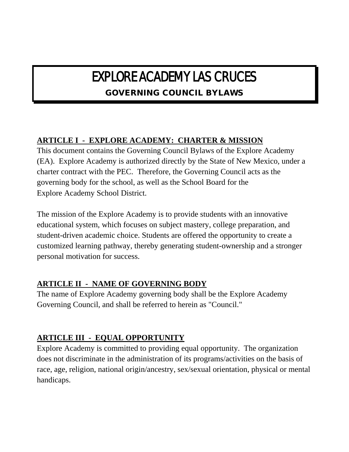## EXPLORE ACADEMY LAS CRUCES

## GOVERNING COUNCIL BYLAWS

## **ARTICLE I - EXPLORE ACADEMY: CHARTER & MISSION**

This document contains the Governing Council Bylaws of the Explore Academy (EA). Explore Academy is authorized directly by the State of New Mexico, under a charter contract with the PEC. Therefore, the Governing Council acts as the governing body for the school, as well as the School Board for the Explore Academy School District.

The mission of the Explore Academy is to provide students with an innovative educational system, which focuses on subject mastery, college preparation, and student-driven academic choice. Students are offered the opportunity to create a customized learning pathway, thereby generating student-ownership and a stronger personal motivation for success.

## **ARTICLE II - NAME OF GOVERNING BODY**

The name of Explore Academy governing body shall be the Explore Academy Governing Council, and shall be referred to herein as "Council."

#### **ARTICLE III - EQUAL OPPORTUNITY**

Explore Academy is committed to providing equal opportunity. The organization does not discriminate in the administration of its programs/activities on the basis of race, age, religion, national origin/ancestry, sex/sexual orientation, physical or mental handicaps.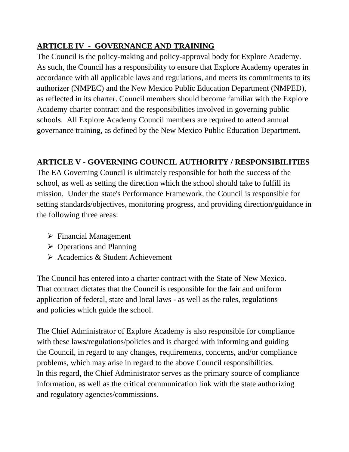## **ARTICLE IV - GOVERNANCE AND TRAINING**

The Council is the policy-making and policy-approval body for Explore Academy. As such, the Council has a responsibility to ensure that Explore Academy operates in accordance with all applicable laws and regulations, and meets its commitments to its authorizer (NMPEC) and the New Mexico Public Education Department (NMPED), as reflected in its charter. Council members should become familiar with the Explore Academy charter contract and the responsibilities involved in governing public schools. All Explore Academy Council members are required to attend annual governance training, as defined by the New Mexico Public Education Department.

## **ARTICLE V - GOVERNING COUNCIL AUTHORITY / RESPONSIBILITIES**

The EA Governing Council is ultimately responsible for both the success of the school, as well as setting the direction which the school should take to fulfill its mission. Under the state's Performance Framework, the Council is responsible for setting standards/objectives, monitoring progress, and providing direction/guidance in the following three areas:

- $\triangleright$  Financial Management
- $\triangleright$  Operations and Planning
- $\triangleright$  Academics & Student Achievement

The Council has entered into a charter contract with the State of New Mexico. That contract dictates that the Council is responsible for the fair and uniform application of federal, state and local laws - as well as the rules, regulations and policies which guide the school.

The Chief Administrator of Explore Academy is also responsible for compliance with these laws/regulations/policies and is charged with informing and guiding the Council, in regard to any changes, requirements, concerns, and/or compliance problems, which may arise in regard to the above Council responsibilities. In this regard, the Chief Administrator serves as the primary source of compliance information, as well as the critical communication link with the state authorizing and regulatory agencies/commissions.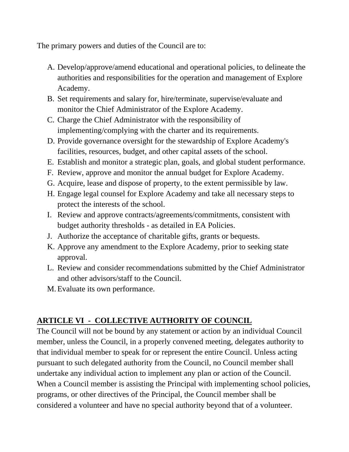The primary powers and duties of the Council are to:

- A. Develop/approve/amend educational and operational policies, to delineate the authorities and responsibilities for the operation and management of Explore Academy.
- B. Set requirements and salary for, hire/terminate, supervise/evaluate and monitor the Chief Administrator of the Explore Academy.
- C. Charge the Chief Administrator with the responsibility of implementing/complying with the charter and its requirements.
- D. Provide governance oversight for the stewardship of Explore Academy's facilities, resources, budget, and other capital assets of the school.
- E. Establish and monitor a strategic plan, goals, and global student performance.
- F. Review, approve and monitor the annual budget for Explore Academy.
- G. Acquire, lease and dispose of property, to the extent permissible by law.
- H. Engage legal counsel for Explore Academy and take all necessary steps to protect the interests of the school.
- I. Review and approve contracts/agreements/commitments, consistent with budget authority thresholds - as detailed in EA Policies.
- J. Authorize the acceptance of charitable gifts, grants or bequests.
- K. Approve any amendment to the Explore Academy, prior to seeking state approval.
- L. Review and consider recommendations submitted by the Chief Administrator and other advisors/staff to the Council.
- M.Evaluate its own performance.

## **ARTICLE VI - COLLECTIVE AUTHORITY OF COUNCIL**

The Council will not be bound by any statement or action by an individual Council member, unless the Council, in a properly convened meeting, delegates authority to that individual member to speak for or represent the entire Council. Unless acting pursuant to such delegated authority from the Council, no Council member shall undertake any individual action to implement any plan or action of the Council. When a Council member is assisting the Principal with implementing school policies, programs, or other directives of the Principal, the Council member shall be considered a volunteer and have no special authority beyond that of a volunteer.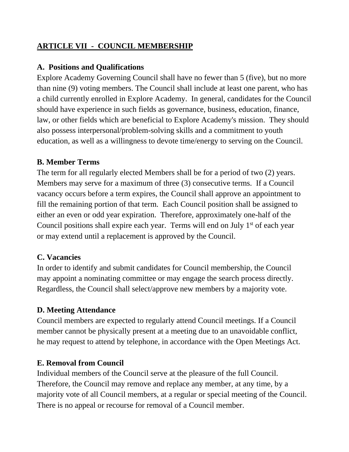### **ARTICLE VII - COUNCIL MEMBERSHIP**

#### **A. Positions and Qualifications**

Explore Academy Governing Council shall have no fewer than 5 (five), but no more than nine (9) voting members. The Council shall include at least one parent, who has a child currently enrolled in Explore Academy. In general, candidates for the Council should have experience in such fields as governance, business, education, finance, law, or other fields which are beneficial to Explore Academy's mission. They should also possess interpersonal/problem-solving skills and a commitment to youth education, as well as a willingness to devote time/energy to serving on the Council.

#### **B. Member Terms**

The term for all regularly elected Members shall be for a period of two (2) years. Members may serve for a maximum of three (3) consecutive terms. If a Council vacancy occurs before a term expires, the Council shall approve an appointment to fill the remaining portion of that term. Each Council position shall be assigned to either an even or odd year expiration. Therefore, approximately one-half of the Council positions shall expire each year. Terms will end on July  $1<sup>st</sup>$  of each year or may extend until a replacement is approved by the Council.

#### **C. Vacancies**

In order to identify and submit candidates for Council membership, the Council may appoint a nominating committee or may engage the search process directly. Regardless, the Council shall select/approve new members by a majority vote.

#### **D. Meeting Attendance**

Council members are expected to regularly attend Council meetings. If a Council member cannot be physically present at a meeting due to an unavoidable conflict, he may request to attend by telephone, in accordance with the Open Meetings Act.

#### **E. Removal from Council**

Individual members of the Council serve at the pleasure of the full Council. Therefore, the Council may remove and replace any member, at any time, by a majority vote of all Council members, at a regular or special meeting of the Council. There is no appeal or recourse for removal of a Council member.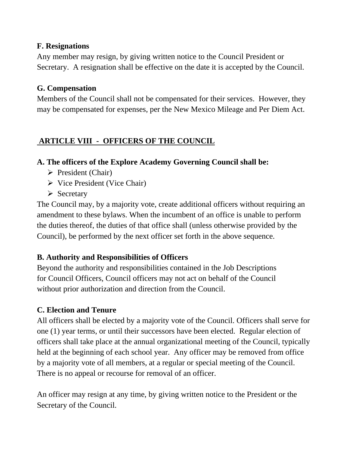#### **F. Resignations**

Any member may resign, by giving written notice to the Council President or Secretary. A resignation shall be effective on the date it is accepted by the Council.

#### **G. Compensation**

Members of the Council shall not be compensated for their services. However, they may be compensated for expenses, per the New Mexico Mileage and Per Diem Act.

## **ARTICLE VIII - OFFICERS OF THE COUNCIL**

#### **A. The officers of the Explore Academy Governing Council shall be:**

- $\triangleright$  President (Chair)
- $\triangleright$  Vice President (Vice Chair)
- $\triangleright$  Secretary

The Council may, by a majority vote, create additional officers without requiring an amendment to these bylaws. When the incumbent of an office is unable to perform the duties thereof, the duties of that office shall (unless otherwise provided by the Council), be performed by the next officer set forth in the above sequence.

#### **B. Authority and Responsibilities of Officers**

Beyond the authority and responsibilities contained in the Job Descriptions for Council Officers, Council officers may not act on behalf of the Council without prior authorization and direction from the Council.

## **C. Election and Tenure**

All officers shall be elected by a majority vote of the Council. Officers shall serve for one (1) year terms, or until their successors have been elected. Regular election of officers shall take place at the annual organizational meeting of the Council, typically held at the beginning of each school year. Any officer may be removed from office by a majority vote of all members, at a regular or special meeting of the Council. There is no appeal or recourse for removal of an officer.

An officer may resign at any time, by giving written notice to the President or the Secretary of the Council.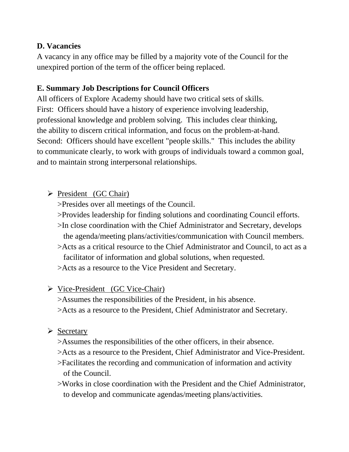#### **D. Vacancies**

A vacancy in any office may be filled by a majority vote of the Council for the unexpired portion of the term of the officer being replaced.

#### **E. Summary Job Descriptions for Council Officers**

All officers of Explore Academy should have two critical sets of skills. First: Officers should have a history of experience involving leadership, professional knowledge and problem solving. This includes clear thinking, the ability to discern critical information, and focus on the problem-at-hand. Second: Officers should have excellent "people skills." This includes the ability to communicate clearly, to work with groups of individuals toward a common goal, and to maintain strong interpersonal relationships.

### $\triangleright$  President (GC Chair)

>Presides over all meetings of the Council.

- >Provides leadership for finding solutions and coordinating Council efforts. >In close coordination with the Chief Administrator and Secretary, develops the agenda/meeting plans/activities/communication with Council members.
- >Acts as a critical resource to the Chief Administrator and Council, to act as a facilitator of information and global solutions, when requested.
- >Acts as a resource to the Vice President and Secretary.

#### Vice-President (GC Vice-Chair)

>Assumes the responsibilities of the President, in his absence. >Acts as a resource to the President, Chief Administrator and Secretary.

#### $\triangleright$  Secretary

- >Assumes the responsibilities of the other officers, in their absence.
- >Acts as a resource to the President, Chief Administrator and Vice-President.
- >Facilitates the recording and communication of information and activity of the Council.
- >Works in close coordination with the President and the Chief Administrator, to develop and communicate agendas/meeting plans/activities.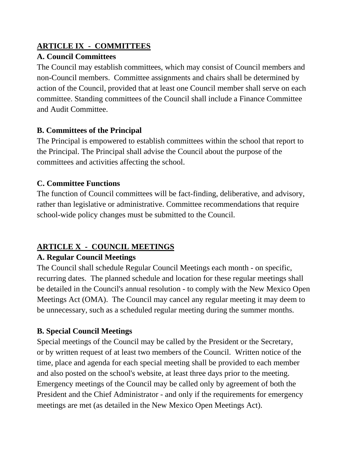#### **ARTICLE IX - COMMITTEES**

### **A. Council Committees**

The Council may establish committees, which may consist of Council members and non-Council members. Committee assignments and chairs shall be determined by action of the Council, provided that at least one Council member shall serve on each committee. Standing committees of the Council shall include a Finance Committee and Audit Committee.

### **B. Committees of the Principal**

The Principal is empowered to establish committees within the school that report to the Principal. The Principal shall advise the Council about the purpose of the committees and activities affecting the school.

## **C. Committee Functions**

The function of Council committees will be fact-finding, deliberative, and advisory, rather than legislative or administrative. Committee recommendations that require school-wide policy changes must be submitted to the Council.

## **ARTICLE X - COUNCIL MEETINGS**

## **A. Regular Council Meetings**

The Council shall schedule Regular Council Meetings each month - on specific, recurring dates. The planned schedule and location for these regular meetings shall be detailed in the Council's annual resolution - to comply with the New Mexico Open Meetings Act (OMA). The Council may cancel any regular meeting it may deem to be unnecessary, such as a scheduled regular meeting during the summer months.

## **B. Special Council Meetings**

Special meetings of the Council may be called by the President or the Secretary, or by written request of at least two members of the Council. Written notice of the time, place and agenda for each special meeting shall be provided to each member and also posted on the school's website, at least three days prior to the meeting. Emergency meetings of the Council may be called only by agreement of both the President and the Chief Administrator - and only if the requirements for emergency meetings are met (as detailed in the New Mexico Open Meetings Act).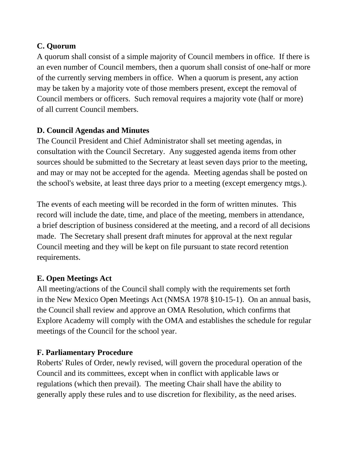#### **C. Quorum**

A quorum shall consist of a simple majority of Council members in office. If there is an even number of Council members, then a quorum shall consist of one-half or more of the currently serving members in office. When a quorum is present, any action may be taken by a majority vote of those members present, except the removal of Council members or officers. Such removal requires a majority vote (half or more) of all current Council members.

#### **D. Council Agendas and Minutes**

The Council President and Chief Administrator shall set meeting agendas, in consultation with the Council Secretary. Any suggested agenda items from other sources should be submitted to the Secretary at least seven days prior to the meeting, and may or may not be accepted for the agenda. Meeting agendas shall be posted on the school's website, at least three days prior to a meeting (except emergency mtgs.).

The events of each meeting will be recorded in the form of written minutes. This record will include the date, time, and place of the meeting, members in attendance, a brief description of business considered at the meeting, and a record of all decisions made. The Secretary shall present draft minutes for approval at the next regular Council meeting and they will be kept on file pursuant to state record retention requirements.

#### **E. Open Meetings Act**

All meeting/actions of the Council shall comply with the requirements set forth in the New Mexico Op**e**n Meetings Act (NMSA 1978 §10-15-1). On an annual basis, the Council shall review and approve an OMA Resolution, which confirms that Explore Academy will comply with the OMA and establishes the schedule for regular meetings of the Council for the school year.

#### **F. Parliamentary Procedure**

Roberts' Rules of Order, newly revised, will govern the procedural operation of the Council and its committees, except when in conflict with applicable laws or regulations (which then prevail). The meeting Chair shall have the ability to generally apply these rules and to use discretion for flexibility, as the need arises.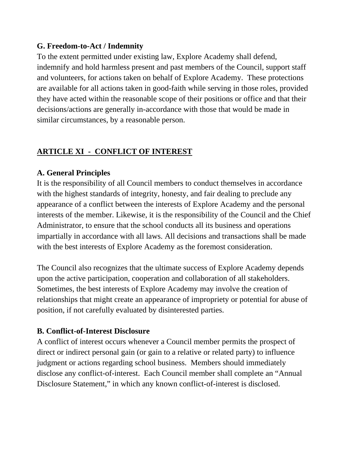#### **G. Freedom-to-Act / Indemnity**

To the extent permitted under existing law, Explore Academy shall defend, indemnify and hold harmless present and past members of the Council, support staff and volunteers, for actions taken on behalf of Explore Academy. These protections are available for all actions taken in good-faith while serving in those roles, provided they have acted within the reasonable scope of their positions or office and that their decisions/actions are generally in-accordance with those that would be made in similar circumstances, by a reasonable person.

### **ARTICLE XI - CONFLICT OF INTEREST**

#### **A. General Principles**

It is the responsibility of all Council members to conduct themselves in accordance with the highest standards of integrity, honesty, and fair dealing to preclude any appearance of a conflict between the interests of Explore Academy and the personal interests of the member. Likewise, it is the responsibility of the Council and the Chief Administrator, to ensure that the school conducts all its business and operations impartially in accordance with all laws. All decisions and transactions shall be made with the best interests of Explore Academy as the foremost consideration.

The Council also recognizes that the ultimate success of Explore Academy depends upon the active participation, cooperation and collaboration of all stakeholders. Sometimes, the best interests of Explore Academy may involve the creation of relationships that might create an appearance of impropriety or potential for abuse of position, if not carefully evaluated by disinterested parties.

#### **B. Conflict-of-Interest Disclosure**

A conflict of interest occurs whenever a Council member permits the prospect of direct or indirect personal gain (or gain to a relative or related party) to influence judgment or actions regarding school business. Members should immediately disclose any conflict-of-interest. Each Council member shall complete an "Annual Disclosure Statement," in which any known conflict-of-interest is disclosed.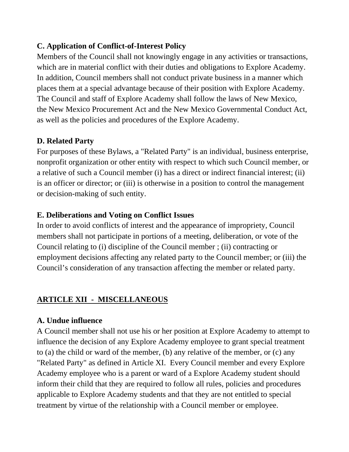#### **C. Application of Conflict-of-Interest Policy**

Members of the Council shall not knowingly engage in any activities or transactions, which are in material conflict with their duties and obligations to Explore Academy. In addition, Council members shall not conduct private business in a manner which places them at a special advantage because of their position with Explore Academy. The Council and staff of Explore Academy shall follow the laws of New Mexico, the New Mexico Procurement Act and the New Mexico Governmental Conduct Act, as well as the policies and procedures of the Explore Academy.

#### **D. Related Party**

For purposes of these Bylaws, a "Related Party" is an individual, business enterprise, nonprofit organization or other entity with respect to which such Council member, or a relative of such a Council member (i) has a direct or indirect financial interest; (ii) is an officer or director; or (iii) is otherwise in a position to control the management or decision-making of such entity.

#### **E. Deliberations and Voting on Conflict Issues**

In order to avoid conflicts of interest and the appearance of impropriety, Council members shall not participate in portions of a meeting, deliberation, or vote of the Council relating to (i) discipline of the Council member ; (ii) contracting or employment decisions affecting any related party to the Council member; or (iii) the Council's consideration of any transaction affecting the member or related party.

## **ARTICLE XII - MISCELLANEOUS**

#### **A. Undue influence**

A Council member shall not use his or her position at Explore Academy to attempt to influence the decision of any Explore Academy employee to grant special treatment to (a) the child or ward of the member, (b) any relative of the member, or (c) any "Related Party" as defined in Article XI. Every Council member and every Explore Academy employee who is a parent or ward of a Explore Academy student should inform their child that they are required to follow all rules, policies and procedures applicable to Explore Academy students and that they are not entitled to special treatment by virtue of the relationship with a Council member or employee.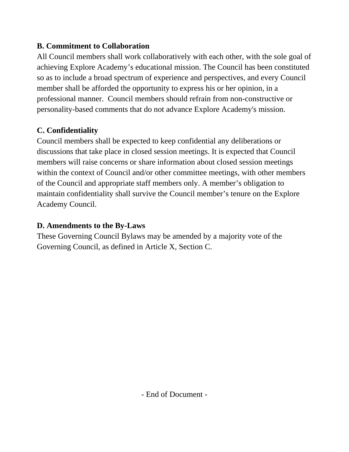#### **B. Commitment to Collaboration**

All Council members shall work collaboratively with each other, with the sole goal of achieving Explore Academy's educational mission. The Council has been constituted so as to include a broad spectrum of experience and perspectives, and every Council member shall be afforded the opportunity to express his or her opinion, in a professional manner. Council members should refrain from non-constructive or personality-based comments that do not advance Explore Academy's mission.

### **C. Confidentiality**

Council members shall be expected to keep confidential any deliberations or discussions that take place in closed session meetings. It is expected that Council members will raise concerns or share information about closed session meetings within the context of Council and/or other committee meetings, with other members of the Council and appropriate staff members only. A member's obligation to maintain confidentiality shall survive the Council member's tenure on the Explore Academy Council.

#### **D. Amendments to the By-Laws**

These Governing Council Bylaws may be amended by a majority vote of the Governing Council, as defined in Article X, Section C.

- End of Document -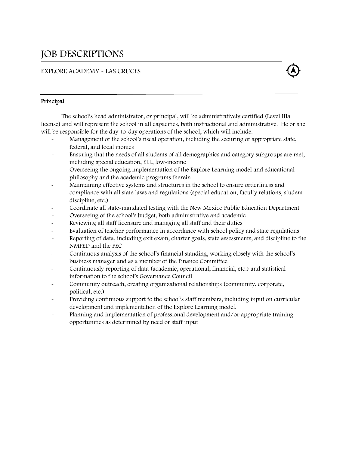## JOB DESCRIPTIONS

#### EXPLORE ACADEMY - LAS CRUCES



#### Principal

 The school's head administrator, or principal, will be administratively certified (Level IIIa license) and will represent the school in all capacities, both instructional and administrative. He or she will be responsible for the day-to-day operations of the school, which will include:

- Management of the school's fiscal operation, including the securing of appropriate state, federal, and local monies
- Ensuring that the needs of all students of all demographics and category subgroups are met, including special education, ELL, low-income
- Overseeing the ongoing implementation of the Explore Learning model and educational philosophy and the academic programs therein
- Maintaining effective systems and structures in the school to ensure orderliness and compliance with all state laws and regulations (special education, faculty relations, student discipline, etc.)
- Coordinate all state-mandated testing with the New Mexico Public Education Department
- Overseeing of the school's budget, both administrative and academic
- Reviewing all staff licensure and managing all staff and their duties
- Evaluation of teacher performance in accordance with school policy and state regulations
- Reporting of data, including exit exam, charter goals, state assessments, and discipline to the NMPED and the PEC
- Continuous analysis of the school's financial standing, working closely with the school's business manager and as a member of the Finance Committee
- Continuously reporting of data (academic, operational, financial, etc.) and statistical information to the school's Governance Council
- Community outreach, creating organizational relationships (community, corporate, political, etc.)
- Providing continuous support to the school's staff members, including input on curricular development and implementation of the Explore Learning model.
- Planning and implementation of professional development and/or appropriate training opportunities as determined by need or staff input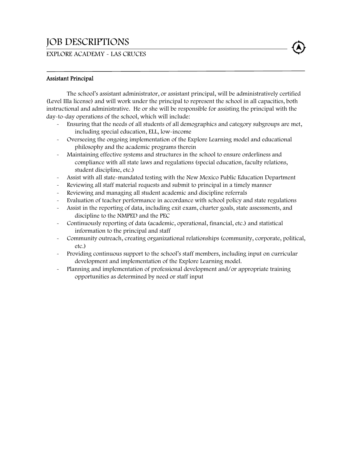## JOB DESCRIPTIONS

#### EXPLORE ACADEMY - LAS CRUCES



 The school's assistant administrator, or assistant principal, will be administratively certified (Level IIIa license) and will work under the principal to represent the school in all capacities, both instructional and administrative. He or she will be responsible for assisting the principal with the day-to-day operations of the school, which will include:

- Ensuring that the needs of all students of all demographics and category subgroups are met, including special education, ELL, low-income
- Overseeing the ongoing implementation of the Explore Learning model and educational philosophy and the academic programs therein
- Maintaining effective systems and structures in the school to ensure orderliness and compliance with all state laws and regulations (special education, faculty relations, student discipline, etc.)
- Assist with all state-mandated testing with the New Mexico Public Education Department
- Reviewing all staff material requests and submit to principal in a timely manner
- Reviewing and managing all student academic and discipline referrals
- Evaluation of teacher performance in accordance with school policy and state regulations
- Assist in the reporting of data, including exit exam, charter goals, state assessments, and discipline to the NMPED and the PEC
- Continuously reporting of data (academic, operational, financial, etc.) and statistical information to the principal and staff
- Community outreach, creating organizational relationships (community, corporate, political, etc.)
- Providing continuous support to the school's staff members, including input on curricular development and implementation of the Explore Learning model.
- Planning and implementation of professional development and/or appropriate training opportunities as determined by need or staff input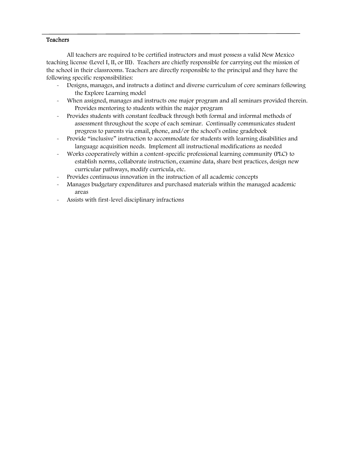#### **Teachers**

All teachers are required to be certified instructors and must possess a valid New Mexico teaching license (Level I, II, or III). Teachers are chiefly responsible for carrying out the mission of the school in their classrooms. Teachers are directly responsible to the principal and they have the following specific responsibilities:

- Designs, manages, and instructs a distinct and diverse curriculum of core seminars following the Explore Learning model
- When assigned, manages and instructs one major program and all seminars provided therein. Provides mentoring to students within the major program
- Provides students with constant feedback through both formal and informal methods of assessment throughout the scope of each seminar. Continually communicates student progress to parents via email, phone, and/or the school's online gradebook
- Provide "inclusive" instruction to accommodate for students with learning disabilities and language acquisition needs. Implement all instructional modifications as needed
- Works cooperatively within a content-specific professional learning community (PLC) to establish norms, collaborate instruction, examine data, share best practices, design new curricular pathways, modify curricula, etc.
- Provides continuous innovation in the instruction of all academic concepts
- Manages budgetary expenditures and purchased materials within the managed academic areas
- Assists with first-level disciplinary infractions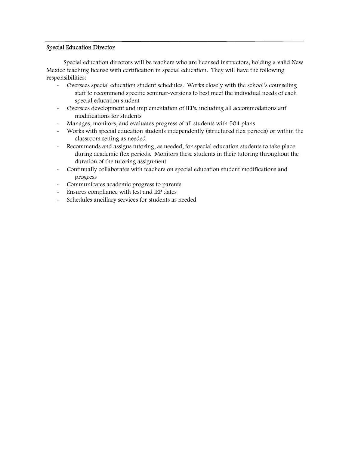#### Special Education Director

L

 Special education directors will be teachers who are licensed instructors, holding a valid New Mexico teaching license with certification in special education. They will have the following responsibilities:

- Oversees special education student schedules. Works closely with the school's counseling staff to recommend specific seminar-versions to best meet the individual needs of each special education student
- Oversees development and implementation of IEPs, including all accommodations anf modifications for students
- Manages, monitors, and evaluates progress of all students with 504 plans
- Works with special education students independently (structured flex periods) or within the classroom setting as needed
- Recommends and assigns tutoring, as needed, for special education students to take place during academic flex periods. Monitors these students in their tutoring throughout the duration of the tutoring assignment
- Continually collaborates with teachers on special education student modifications and progress
- Communicates academic progress to parents
- Ensures compliance with test and IEP dates
- Schedules ancillary services for students as needed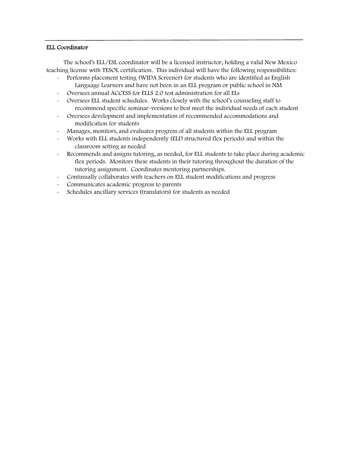#### ELL Coordinator

l

 The school's ELL/ESL coordinator will be a licensed instructor, holding a valid New Mexico teaching license with TESOL certification. This individual will have the following responsibilities:

- Performs placement testing (WIDA Screener) for students who are identified as English Language Learners and have not been in an ELL program or public school in NM
- Oversees annual ACCESS for ELLS 2.0 test administration for all ELs
- Oversees ELL student schedules. Works closely with the school's counseling staff to recommend specific seminar-versions to best meet the individual needs of each student
- Oversees development and implementation of recommended accommodations and modification for students
- Manages, monitors, and evaluates progress of all students within the ELL program
- Works with ELL students independently (ELD structured flex periods) and within the classroom setting as needed
- Recommends and assigns tutoring, as needed, for ELL students to take place during academic flex periods. Monitors these students in their tutoring throughout the duration of the tutoring assignment. Coordinates mentoring partnerships.
- Continually collaborates with teachers on ELL student modifications and progress
- Communicates academic progress to parents
- Schedules ancillary services (translators) for students as needed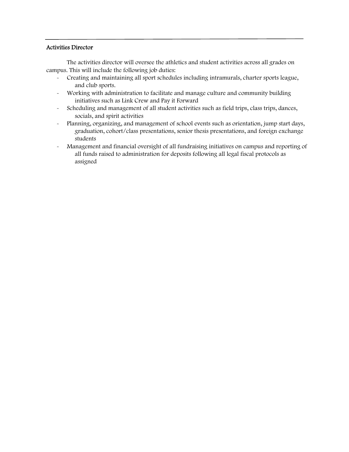#### Activities Director

 The activities director will oversee the athletics and student activities across all grades on campus. This will include the following job duties:

- Creating and maintaining all sport schedules including intramurals, charter sports league, and club sports.
- Working with administration to facilitate and manage culture and community building initiatives such as Link Crew and Pay it Forward
- Scheduling and management of all student activities such as field trips, class trips, dances, socials, and spirit activities
- Planning, organizing, and management of school events such as orientation, jump start days, graduation, cohort/class presentations, senior thesis presentations, and foreign exchange students
- Management and financial oversight of all fundraising initiatives on campus and reporting of all funds raised to administration for deposits following all legal fiscal protocols as assigned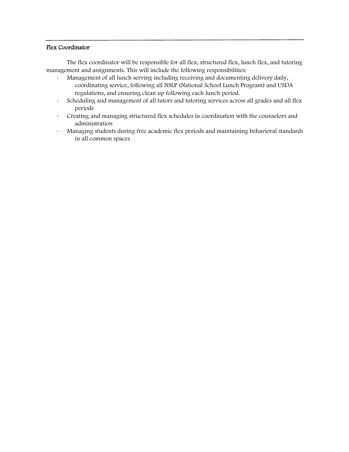#### Flex Coordinator

 $\overline{a}$ 

 The flex coordinator will be responsible for all flex, structured flex, lunch flex, and tutoring management and assignments. This will include the following responsibilities:

- Management of all lunch serving including receiving and documenting delivery daily, coordinating service, following all NSLP (National School Lunch Program) and USDA regulations, and ensuring clean up following each lunch period.
- Scheduling and management of all tutors and tutoring services across all grades and all flex periods
- Creating and managing structured flex schedules in coordination with the counselors and administration
- Managing students during free academic flex periods and maintaining behavioral standards in all common spaces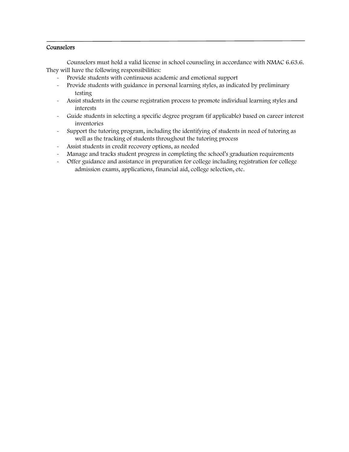#### **Counselors**

 Counselors must hold a valid license in school counseling in accordance with NMAC 6.63.6. They will have the following responsibilities:

- Provide students with continuous academic and emotional support
- Provide students with guidance in personal learning styles, as indicated by preliminary testing
- Assist students in the course registration process to promote individual learning styles and interests
- Guide students in selecting a specific degree program (if applicable) based on career interest inventories
- Support the tutoring program, including the identifying of students in need of tutoring as well as the tracking of students throughout the tutoring process
- Assist students in credit recovery options, as needed
- Manage and tracks student progress in completing the school's graduation requirements
- Offer guidance and assistance in preparation for college including registration for college admission exams, applications, financial aid, college selection, etc.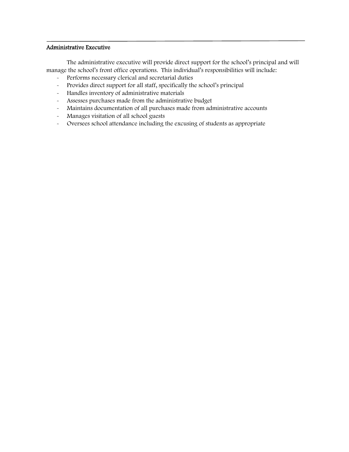#### Administrative Executive

 $\overline{a}$ 

 The administrative executive will provide direct support for the school's principal and will manage the school's front office operations. This individual's responsibilities will include:

- Performs necessary clerical and secretarial duties
- Provides direct support for all staff, specifically the school's principal
- Handles inventory of administrative materials
- Assesses purchases made from the administrative budget
- Maintains documentation of all purchases made from administrative accounts
- Manages visitation of all school guests
- Oversees school attendance including the excusing of students as appropriate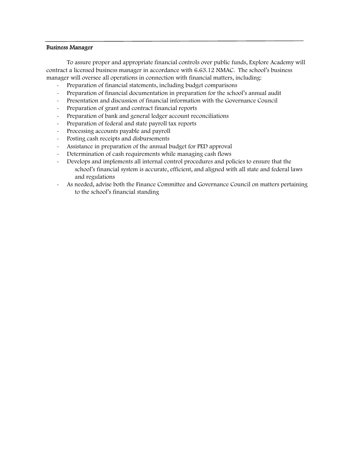#### Business Manager

l,

To assure proper and appropriate financial controls over public funds, Explore Academy will contract a licensed business manager in accordance with 6.63.12 NMAC. The school's business manager will oversee all operations in connection with financial matters, including:

- Preparation of financial statements, including budget comparisons
- Preparation of financial documentation in preparation for the school's annual audit
- Presentation and discussion of financial information with the Governance Council
- Preparation of grant and contract financial reports
- Preparation of bank and general ledger account reconciliations
- Preparation of federal and state payroll tax reports
- Processing accounts payable and payroll
- Posting cash receipts and disbursements
- Assistance in preparation of the annual budget for PED approval
- Determination of cash requirements while managing cash flows
- Develops and implements all internal control procedures and policies to ensure that the school's financial system is accurate, efficient, and aligned with all state and federal laws and regulations
- As needed, advise both the Finance Committee and Governance Council on matters pertaining to the school's financial standing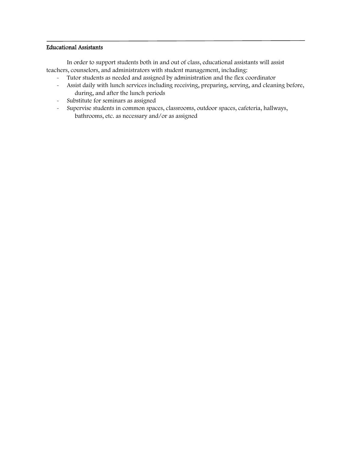#### Educational Assistants

In order to support students both in and out of class, educational assistants will assist teachers, counselors, and administrators with student management, including:

- Tutor students as needed and assigned by administration and the flex coordinator
- Assist daily with lunch services including receiving, preparing, serving, and cleaning before, during, and after the lunch periods
- Substitute for seminars as assigned
- Supervise students in common spaces, classrooms, outdoor spaces, cafeteria, hallways, bathrooms, etc. as necessary and/or as assigned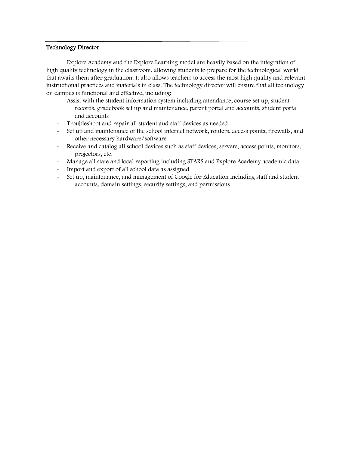#### Technology Director

Explore Academy and the Explore Learning model are heavily based on the integration of high quality technology in the classroom, allowing students to prepare for the technological world that awaits them after graduation. It also allows teachers to access the most high quality and relevant instructional practices and materials in class. The technology director will ensure that all technology on campus is functional and effective, including:

- Assist with the student information system including attendance, course set up, student records, gradebook set up and maintenance, parent portal and accounts, student portal and accounts
- Troubleshoot and repair all student and staff devices as needed
- Set up and maintenance of the school internet network, routers, access points, firewalls, and other necessary hardware/software
- Receive and catalog all school devices such as staff devices, servers, access points, monitors, projectors, etc.
- Manage all state and local reporting including STARS and Explore Academy academic data
- Import and export of all school data as assigned
- Set up, maintenance, and management of Google for Education including staff and student accounts, domain settings, security settings, and permissions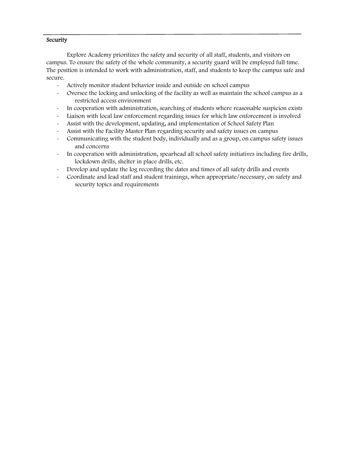#### **Security**

Explore Academy prioritizes the safety and security of all staff, students, and visitors on campus. To ensure the safety of the whole community, a security guard will be employed full time. The position is intended to work with administration, staff, and students to keep the campus safe and secure.

- Actively monitor student behavior inside and outside on school campus
- Oversee the locking and unlocking of the facility as well as maintain the school campus as a restricted access environment
- In cooperation with administration, searching of students where reasonable suspicion exists
- Liaison with local law enforcement regarding issues for which law enforcement is involved
- Assist with the development, updating, and implementation of School Safety Plan
- Assist with the Facility Master Plan regarding security and safety issues on campus
- Communicating with the student body, individually and as a group, on campus safety issues and concerns
- In cooperation with administration, spearhead all school safety initiatives including fire drills, lockdown drills, shelter in place drills, etc.
- Develop and update the log recording the dates and times of all safety drills and events
- Coordinate and lead staff and student trainings, when appropriate/necessary, on safety and security topics and requirements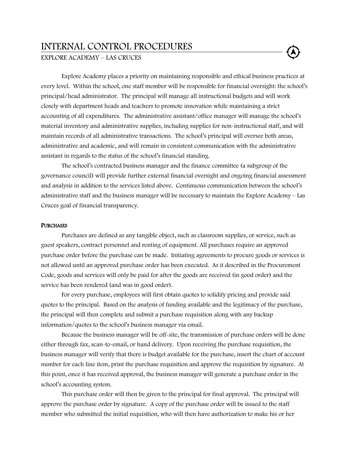#### INTERNAL CONTROL PROCEDURES

EXPLORE ACADEMY – LAS CRUCES

Explore Academy places a priority on maintaining responsible and ethical business practices at every level. Within the school, one staff member will be responsible for financial oversight: the school's principal/head administrator. The principal will manage all instructional budgets and will work closely with department heads and teachers to promote innovation while maintaining a strict accounting of all expenditures. The administrative assistant/office manager will manage the school's material inventory and administrative supplies, including supplies for non-instructional staff, and will maintain records of all administrative transactions. The school's principal will oversee both areas, administrative and academic, and will remain in consistent communication with the administrative assistant in regards to the status of the school's financial standing.

The school's contracted business manager and the finance committee (a subgroup of the governance council) will provide further external financial oversight and ongoing financial assessment and analysis in addition to the services listed above. Continuous communication between the school's administrative staff and the business manager will be necessary to maintain the Explore Academy – Las Cruces goal of financial transparency.

#### **PURCHASES**

Purchases are defined as any tangible object, such as classroom supplies, or service, such as guest speakers, contract personnel and renting of equipment. All purchases require an approved purchase order before the purchase can be made. Initiating agreements to procure goods or services is not allowed until an approved purchase order has been executed. As it described in the Procurement Code, goods and services will only be paid for after the goods are received (in good order) and the service has been rendered (and was in good order).

For every purchase, employees will first obtain quotes to solidify pricing and provide said quotes to the principal. Based on the analysis of funding available and the legitimacy of the purchase, the principal will then complete and submit a purchase requisition along with any backup information/quotes to the school's business manager via email.

Because the business manager will be off-site, the transmission of purchase orders will be done either through fax, scan-to-email, or hand delivery. Upon receiving the purchase requisition, the business manager will verify that there is budget available for the purchase, insert the chart of account number for each line item, print the purchase requisition and approve the requisition by signature. At this point, once it has received approval, the business manager will generate a purchase order in the school's accounting system.

This purchase order will then be given to the principal for final approval. The principal will approve the purchase order by signature. A copy of the purchase order will be issued to the staff member who submitted the initial requisition, who will then have authorization to make his or her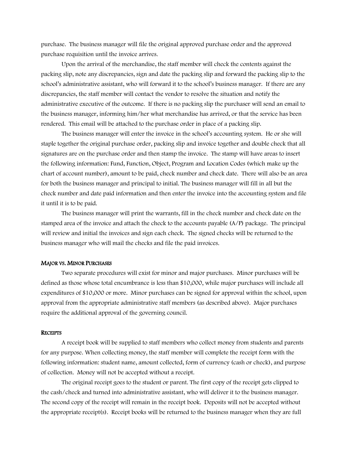purchase. The business manager will file the original approved purchase order and the approved purchase requisition until the invoice arrives.

Upon the arrival of the merchandise, the staff member will check the contents against the packing slip, note any discrepancies, sign and date the packing slip and forward the packing slip to the school's administrative assistant, who will forward it to the school's business manager. If there are any discrepancies, the staff member will contact the vendor to resolve the situation and notify the administrative executive of the outcome. If there is no packing slip the purchaser will send an email to the business manager, informing him/her what merchandise has arrived, or that the service has been rendered. This email will be attached to the purchase order in place of a packing slip.

The business manager will enter the invoice in the school's accounting system. He or she will staple together the original purchase order, packing slip and invoice together and double check that all signatures are on the purchase order and then stamp the invoice. The stamp will have areas to insert the following information: Fund, Function, Object, Program and Location Codes (which make up the chart of account number), amount to be paid, check number and check date. There will also be an area for both the business manager and principal to initial. The business manager will fill in all but the check number and date paid information and then enter the invoice into the accounting system and file it until it is to be paid.

The business manager will print the warrants, fill in the check number and check date on the stamped area of the invoice and attach the check to the accounts payable (A/P) package. The principal will review and initial the invoices and sign each check. The signed checks will be returned to the business manager who will mail the checks and file the paid invoices.

#### MAJOR VS. MINOR PURCHASES

Two separate procedures will exist for minor and major purchases. Minor purchases will be defined as those whose total encumbrance is less than \$10,000, while major purchases will include all expenditures of \$10,000 or more. Minor purchases can be signed for approval within the school, upon approval from the appropriate administrative staff members (as described above). Major purchases require the additional approval of the governing council.

#### **RECEIPTS**

A receipt book will be supplied to staff members who collect money from students and parents for any purpose. When collecting money, the staff member will complete the receipt form with the following information: student name, amount collected, form of currency (cash or check), and purpose of collection. Money will not be accepted without a receipt.

The original receipt goes to the student or parent. The first copy of the receipt gets clipped to the cash/check and turned into administrative assistant, who will deliver it to the business manager. The second copy of the receipt will remain in the receipt book. Deposits will not be accepted without the appropriate receipt(s). Receipt books will be returned to the business manager when they are full